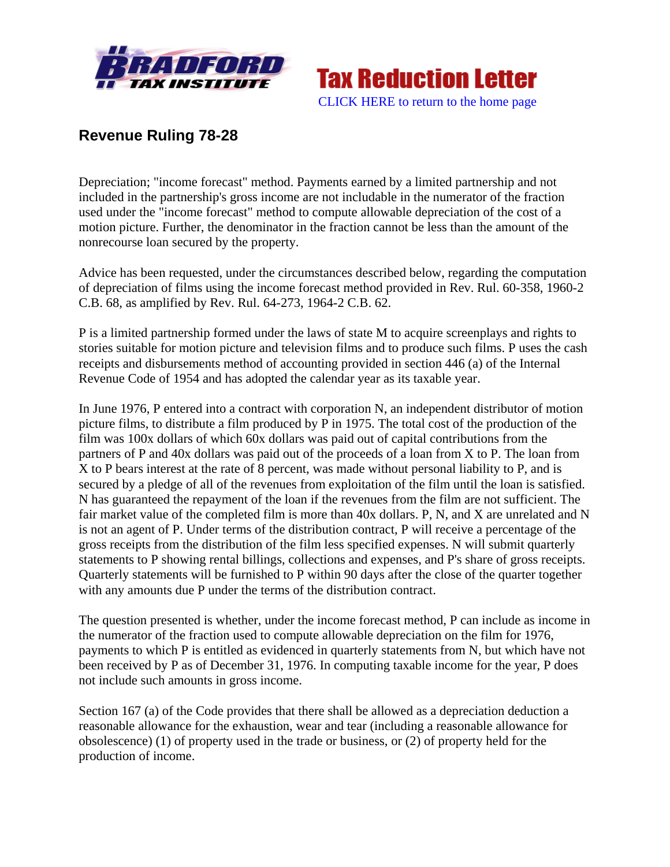



## **Revenue Ruling 78-28**

Depreciation; "income forecast" method. Payments earned by a limited partnership and not included in the partnership's gross income are not includable in the numerator of the fraction used under the "income forecast" method to compute allowable depreciation of the cost of a motion picture. Further, the denominator in the fraction cannot be less than the amount of the nonrecourse loan secured by the property.

Advice has been requested, under the circumstances described below, regarding the computation of depreciation of films using the income forecast method provided in Rev. Rul. 60-358, 1960-2 C.B. 68, as amplified by Rev. Rul. 64-273, 1964-2 C.B. 62.

P is a limited partnership formed under the laws of state M to acquire screenplays and rights to stories suitable for motion picture and television films and to produce such films. P uses the cash receipts and disbursements method of accounting provided in section 446 (a) of the Internal Revenue Code of 1954 and has adopted the calendar year as its taxable year.

In June 1976, P entered into a contract with corporation N, an independent distributor of motion picture films, to distribute a film produced by P in 1975. The total cost of the production of the film was 100x dollars of which 60x dollars was paid out of capital contributions from the partners of P and 40x dollars was paid out of the proceeds of a loan from X to P. The loan from X to P bears interest at the rate of 8 percent, was made without personal liability to P, and is secured by a pledge of all of the revenues from exploitation of the film until the loan is satisfied. N has guaranteed the repayment of the loan if the revenues from the film are not sufficient. The fair market value of the completed film is more than 40x dollars. P, N, and X are unrelated and N is not an agent of P. Under terms of the distribution contract, P will receive a percentage of the gross receipts from the distribution of the film less specified expenses. N will submit quarterly statements to P showing rental billings, collections and expenses, and P's share of gross receipts. Quarterly statements will be furnished to P within 90 days after the close of the quarter together with any amounts due P under the terms of the distribution contract.

The question presented is whether, under the income forecast method, P can include as income in the numerator of the fraction used to compute allowable depreciation on the film for 1976, payments to which P is entitled as evidenced in quarterly statements from N, but which have not been received by P as of December 31, 1976. In computing taxable income for the year, P does not include such amounts in gross income.

Section 167 (a) of the Code provides that there shall be allowed as a depreciation deduction a reasonable allowance for the exhaustion, wear and tear (including a reasonable allowance for obsolescence) (1) of property used in the trade or business, or (2) of property held for the production of income.